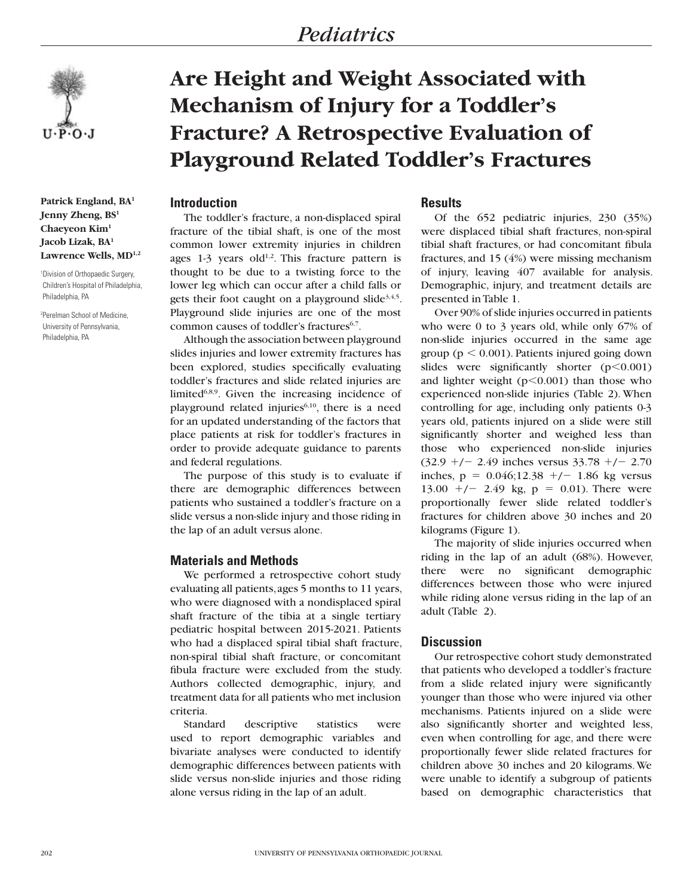# *Pediatrics*



**Patrick England, BA1 Jenny Zheng, BS1 Chaeyeon Kim1 Jacob Lizak, BA1** Lawrence Wells, MD<sup>1,2</sup>

1 Division of Orthopaedic Surgery, Children's Hospital of Philadelphia, Philadelphia, PA

2 Perelman School of Medicine, University of Pennsylvania, Philadelphia, PA

# **Are Height and Weight Associated with Mechanism of Injury for a Toddler's Fracture? A Retrospective Evaluation of Playground Related Toddler's Fractures**

# **Introduction**

The toddler's fracture, a non-displaced spiral fracture of the tibial shaft, is one of the most common lower extremity injuries in children ages  $1-3$  years old<sup>1,2</sup>. This fracture pattern is thought to be due to a twisting force to the lower leg which can occur after a child falls or gets their foot caught on a playground slide $3,4,5$ . Playground slide injuries are one of the most common causes of toddler's fractures<sup>6,7</sup>.

Although the association between playground slides injuries and lower extremity fractures has been explored, studies specifically evaluating toddler's fractures and slide related injuries are limited $6,8,9$ . Given the increasing incidence of playground related injuries<sup>6,10</sup>, there is a need for an updated understanding of the factors that place patients at risk for toddler's fractures in order to provide adequate guidance to parents and federal regulations.

The purpose of this study is to evaluate if there are demographic differences between patients who sustained a toddler's fracture on a slide versus a non-slide injury and those riding in the lap of an adult versus alone.

# **Materials and Methods**

We performed a retrospective cohort study evaluating all patients, ages 5 months to 11 years, who were diagnosed with a nondisplaced spiral shaft fracture of the tibia at a single tertiary pediatric hospital between 2015-2021. Patients who had a displaced spiral tibial shaft fracture, non-spiral tibial shaft fracture, or concomitant fibula fracture were excluded from the study. Authors collected demographic, injury, and treatment data for all patients who met inclusion criteria.

Standard descriptive statistics were used to report demographic variables and bivariate analyses were conducted to identify demographic differences between patients with slide versus non-slide injuries and those riding alone versus riding in the lap of an adult.

# **Results**

Of the 652 pediatric injuries, 230 (35%) were displaced tibial shaft fractures, non-spiral tibial shaft fractures, or had concomitant fibula fractures, and 15 (4%) were missing mechanism of injury, leaving 407 available for analysis. Demographic, injury, and treatment details are presented in Table 1.

Over 90% of slide injuries occurred in patients who were 0 to 3 years old, while only 67% of non-slide injuries occurred in the same age group ( $p < 0.001$ ). Patients injured going down slides were significantly shorter  $(p<0.001)$ and lighter weight  $(p<0.001)$  than those who experienced non-slide injuries (Table 2). When controlling for age, including only patients 0-3 years old, patients injured on a slide were still significantly shorter and weighed less than those who experienced non-slide injuries  $(32.9 +/- 2.49$  inches versus  $33.78 +/- 2.70$ inches,  $p = 0.046;12.38 + -1.86$  kg versus 13.00  $+/-$  2.49 kg, p = 0.01). There were proportionally fewer slide related toddler's fractures for children above 30 inches and 20 kilograms (Figure 1).

The majority of slide injuries occurred when riding in the lap of an adult (68%). However, there were no significant demographic differences between those who were injured while riding alone versus riding in the lap of an adult (Table 2).

#### **Discussion**

Our retrospective cohort study demonstrated that patients who developed a toddler's fracture from a slide related injury were significantly younger than those who were injured via other mechanisms. Patients injured on a slide were also significantly shorter and weighted less, even when controlling for age, and there were proportionally fewer slide related fractures for children above 30 inches and 20 kilograms. We were unable to identify a subgroup of patients based on demographic characteristics that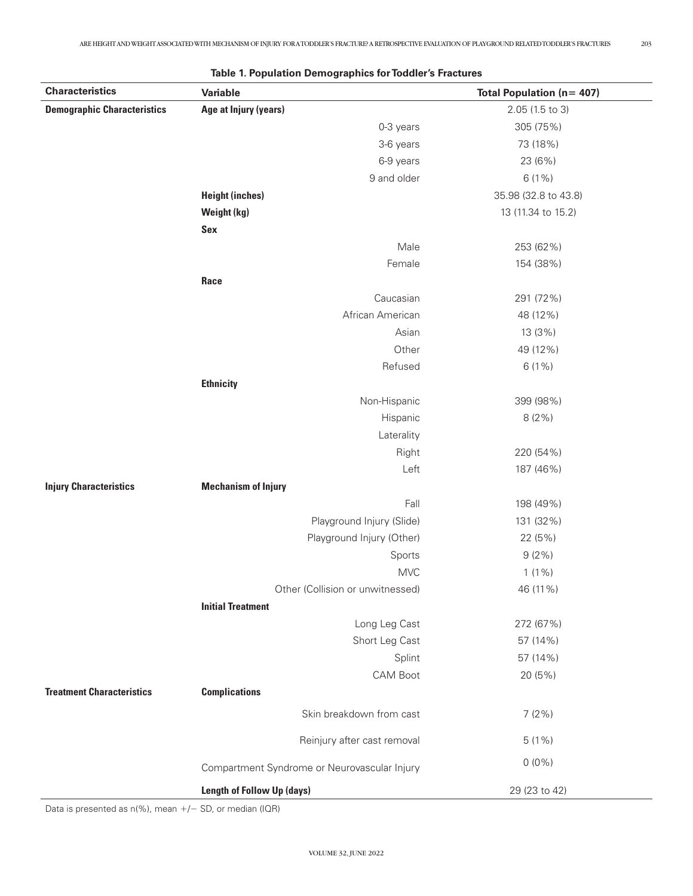| <b>Characteristics</b>             | Variable                                     | <b>Total Population (n= 407)</b> |  |
|------------------------------------|----------------------------------------------|----------------------------------|--|
| <b>Demographic Characteristics</b> | Age at Injury (years)                        | 2.05 (1.5 to 3)                  |  |
|                                    | 0-3 years                                    | 305 (75%)                        |  |
|                                    | 3-6 years                                    | 73 (18%)                         |  |
|                                    | 6-9 years                                    | 23 (6%)                          |  |
|                                    | 9 and older                                  | $6(1\%)$                         |  |
|                                    | <b>Height (inches)</b>                       | 35.98 (32.8 to 43.8)             |  |
|                                    | Weight (kg)                                  | 13 (11.34 to 15.2)               |  |
|                                    | Sex                                          |                                  |  |
|                                    | Male                                         | 253 (62%)                        |  |
|                                    | Female                                       | 154 (38%)                        |  |
|                                    | Race                                         |                                  |  |
|                                    | Caucasian                                    | 291 (72%)                        |  |
|                                    | African American                             | 48 (12%)                         |  |
|                                    | Asian                                        | 13 (3%)                          |  |
|                                    | Other                                        | 49 (12%)                         |  |
|                                    | Refused                                      | $6(1\%)$                         |  |
|                                    | <b>Ethnicity</b>                             |                                  |  |
|                                    | Non-Hispanic                                 | 399 (98%)                        |  |
|                                    | Hispanic                                     | 8(2%)                            |  |
|                                    | Laterality                                   |                                  |  |
|                                    | Right                                        | 220 (54%)                        |  |
|                                    | Left                                         | 187 (46%)                        |  |
| <b>Injury Characteristics</b>      | <b>Mechanism of Injury</b>                   |                                  |  |
|                                    | Fall                                         | 198 (49%)                        |  |
|                                    | Playground Injury (Slide)                    | 131 (32%)                        |  |
|                                    | Playground Injury (Other)                    | 22 (5%)                          |  |
|                                    | Sports                                       | $9(2\%)$                         |  |
|                                    | <b>MVC</b>                                   | $1(1\%)$                         |  |
|                                    | Other (Collision or unwitnessed)             | 46 (11%)                         |  |
|                                    | <b>Initial Treatment</b>                     |                                  |  |
|                                    | Long Leg Cast                                | 272 (67%)                        |  |
|                                    | Short Leg Cast                               | 57 (14%)                         |  |
|                                    | Splint                                       | 57 (14%)                         |  |
|                                    | CAM Boot                                     | 20 (5%)                          |  |
| <b>Treatment Characteristics</b>   | <b>Complications</b>                         |                                  |  |
|                                    | Skin breakdown from cast                     | 7(2%)                            |  |
|                                    | Reinjury after cast removal                  | $5(1\%)$                         |  |
|                                    | Compartment Syndrome or Neurovascular Injury | $0(0\%)$                         |  |
|                                    | Length of Follow Up (days)                   | 29 (23 to 42)                    |  |

|--|

Data is presented as  $n$ <sup>(%)</sup>, mean  $+/-$  SD, or median (IQR)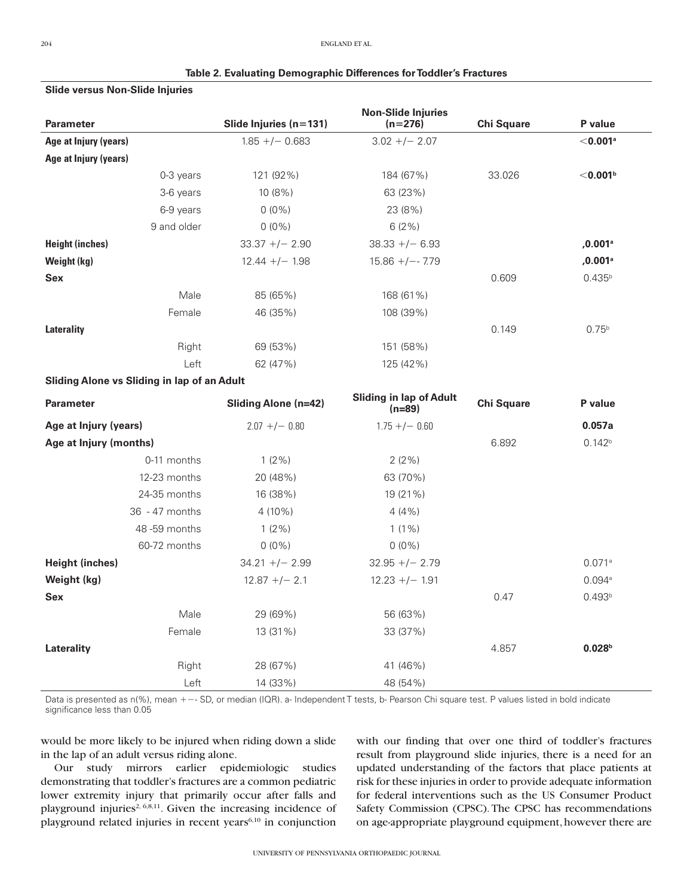#### **Table 2. Evaluating Demographic Differences for Toddler's Fractures**

#### **Slide versus Non-Slide Injuries**

| <b>Parameter</b>                                   | Slide Injuries (n=131)      | <b>Non-Slide Injuries</b><br>$(n=276)$     | <b>Chi Square</b> | P value                |
|----------------------------------------------------|-----------------------------|--------------------------------------------|-------------------|------------------------|
| Age at Injury (years)                              | $1.85 + / - 0.683$          | $3.02 + - 2.07$                            |                   | $<$ 0.001ª             |
| Age at Injury (years)                              |                             |                                            |                   |                        |
| 0-3 years                                          | 121 (92%)                   | 184 (67%)                                  | 33.026            | $<$ 0.001 $^{\rm b}$   |
| 3-6 years                                          | 10 (8%)                     | 63 (23%)                                   |                   |                        |
| 6-9 years                                          | $0(0\%)$                    | 23 (8%)                                    |                   |                        |
| 9 and older                                        | $0(0\%)$                    | 6(2%)                                      |                   |                        |
| <b>Height (inches)</b>                             | $33.37 + / - 2.90$          | $38.33 + - 6.93$                           |                   | $, 0.001$ <sup>a</sup> |
| Weight (kg)                                        | $12.44 +/- 1.98$            | $15.86 + / - - 7.79$                       |                   | $, 0.001$ <sup>a</sup> |
| Sex                                                |                             |                                            | 0.609             | $0.435^{b}$            |
| Male                                               | 85 (65%)                    | 168 (61%)                                  |                   |                        |
| Female                                             | 46 (35%)                    | 108 (39%)                                  |                   |                        |
| <b>Laterality</b>                                  |                             |                                            | 0.149             | $0.75^{b}$             |
| Right                                              | 69 (53%)                    | 151 (58%)                                  |                   |                        |
| Left                                               | 62 (47%)                    | 125 (42%)                                  |                   |                        |
| <b>Sliding Alone vs Sliding in lap of an Adult</b> |                             |                                            |                   |                        |
| <b>Parameter</b>                                   | <b>Sliding Alone (n=42)</b> | <b>Sliding in lap of Adult</b><br>$(n=89)$ | <b>Chi Square</b> | P value                |
| Age at Injury (years)                              | $2.07 + / - 0.80$           | $1.75 + / - 0.60$                          |                   | 0.057a                 |
| Age at Injury (months)                             |                             |                                            | 6.892             | 0.142 <sup>b</sup>     |
| 0-11 months                                        | $1(2\%)$                    | 2(2%)                                      |                   |                        |
| 12-23 months                                       | 20 (48%)                    | 63 (70%)                                   |                   |                        |
| 24-35 months                                       | 16 (38%)                    | 19 (21%)                                   |                   |                        |
| 36 - 47 months                                     | 4 (10%)                     | 4(4%                                       |                   |                        |
| 48-59 months                                       | $1(2\%)$                    | $1(1\%)$                                   |                   |                        |
| 60-72 months                                       | $0(0\%)$                    | $0(0\%)$                                   |                   |                        |
| <b>Height (inches)</b>                             | $34.21 + / - 2.99$          | $32.95 + - 2.79$                           |                   | 0.071a                 |
| Weight (kg)                                        | $12.87 +/- 2.1$             | $12.23 +/- 1.91$                           |                   | 0.094a                 |
| Sex                                                |                             |                                            | 0.47              | 0.493 <sup>b</sup>     |
| Male                                               | 29 (69%)                    | 56 (63%)                                   |                   |                        |
| Female                                             | 13 (31%)                    | 33 (37%)                                   |                   |                        |
| Laterality                                         |                             |                                            | 4.857             | 0.028 <sup>b</sup>     |
| Right                                              | 28 (67%)                    | 41 (46%)                                   |                   |                        |
| Left                                               | 14 (33%)                    | 48 (54%)                                   |                   |                        |

Data is presented as n(%), mean +-- SD, or median (IQR). a- Independent T tests, b- Pearson Chi square test. P values listed in bold indicate significance less than 0.05

would be more likely to be injured when riding down a slide in the lap of an adult versus riding alone.

Our study mirrors earlier epidemiologic studies demonstrating that toddler's fractures are a common pediatric lower extremity injury that primarily occur after falls and playground injuries<sup>2, 6,8,11</sup>. Given the increasing incidence of playground related injuries in recent years $6,10$  in conjunction

with our finding that over one third of toddler's fractures result from playground slide injuries, there is a need for an updated understanding of the factors that place patients at risk for these injuries in order to provide adequate information for federal interventions such as the US Consumer Product Safety Commission (CPSC). The CPSC has recommendations on age-appropriate playground equipment, however there are